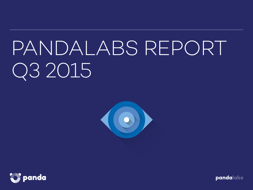# PANDALABS REPORT Q3 2015



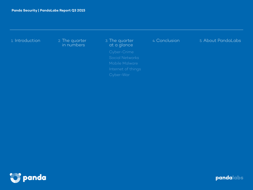

in numbers

3. The quarter at a glance

Internet of things

4. Conclusion 5. About PandaLabs

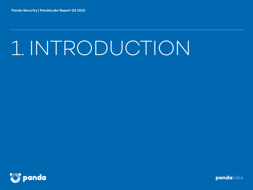# 1. INTRODUCTION

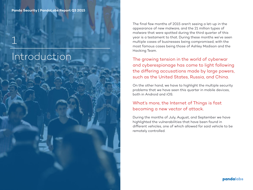## Introduction

1

The final few months of 2015 aren't seeing a let-up in the appearance of new malware, and the 21 million types of malware that were spotted during the third quarter of this year is a testament to that. During these months we've seen multiple cases of businesses being compromised, with the most famous cases being those of Ashley Madison and the Hacking Team.

The growing tension in the world of cyberwar and cyberespionage has come to light following the differing accusations made by large powers, such as the United States, Russia, and China.

On the other hand, we have to highlight the multiple security problems that we have seen this quarter in mobile devices, both in Android and iOS.

#### What's more, the Internet of Things is fast becoming a new vector of attack.

During the months of July, August, and September we have highlighted the vulnerabilities that have been found in different vehicles, one of which allowed for said vehicle to be remotely controlled.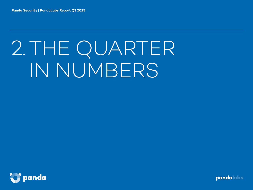# 2.THE QUARTER IN NUMBERS

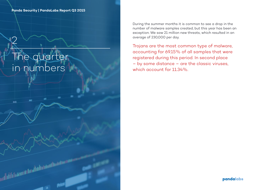# The quarter in numbers

2

aug

رائعه والمان فاقتنا الأواليل

During the summer months it is common to see a drop in the number of malware samples created, but this year has been an exception. We saw 21 million new threats, which resulted in an average of 230,000 per day.

Trojans are the most common type of malware, accounting for 69.15% of all samples that were registered during this period. In second place – by some distance – are the classic viruses, which account for 11.34%.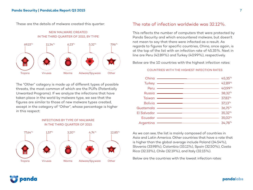These are the details of malware created this quarter:



NEW MALWARE CREATED

The "Other" category is made up of different types of possible threats, the most common of which are the PUPs (Potentially Unwanted Programs). If we analyze the infections that have taken place in the world by malware type, we see that the figures are similar to those of new malware types created, except in the category of "Other", whose percentage is higher in this respect:



#### INFECTIONS BY TYPE OF MALWARE IN THE THIRD QUARTER OF 2015

#### The rate of infection worldwide was 32.12%.

This reflects the number of computers that were protected by Panda Security and which encountered malware, but doesn't not mean to say that there were infected as a result. As regards to figures for specific countries, China, once again, is at the top of the list with an infection rate of 45.35%. Next in line are Peru (42.89%) and Turkey (40.99%), respectively.

Below are the 10 countries with the highest infection rates:

#### COUNTRIES WITH THE HIGHEST INFECTION RATES

| China -                |                        |                                                                         | 45,35%    |
|------------------------|------------------------|-------------------------------------------------------------------------|-----------|
| Turkey -               |                        |                                                                         | 42,89%    |
| Peru                   |                        |                                                                         | 40,99%    |
|                        |                        |                                                                         | 38,32%    |
| Taiwan —               |                        | <u> 1989 - Johann Barbara, martxa al III-lea (h. 1989).</u>             | 37,82%    |
| Bolivia -              |                        | <u> 1989 - Johann John Stein, markin fizik eta idazleari (h. 1989).</u> | $37,13\%$ |
| Guatemala <del>—</del> |                        |                                                                         | $36,75\%$ |
| $El$ Salvador $-$      |                        |                                                                         | 35,32%    |
|                        | Ecuador —————————————— |                                                                         | 35,02%    |
| Argentina              |                        |                                                                         | 34,78%    |
|                        |                        |                                                                         |           |

As we can see, the list is mainly composed of countries in Asia and Latin America. Other countries that have a rate that is higher than the global average include Poland (34.54%), Slovenia (33.98%), Colombia (33.11%), Spain (32.50%), Costa Rica (32.33%), Chile (32.19%), and Italy (32.15%).

Below are the countries with the lowest infection rates:

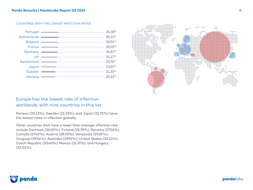#### COUNTRIES WITH THE LOWEST INFECTION RATES

| Portugal -        |  | 26,38%    |
|-------------------|--|-----------|
| Netherlands ————— |  | 26,22%    |
| Belgium -         |  | 25,96%    |
| France —          |  | 25,02%    |
| Germany -         |  | 24,87%    |
| <b>UK</b>         |  | 24,17%    |
| Switzerland -     |  | 22,75%    |
| Japan             |  | 23,57%    |
| Sweden -          |  | $21,33\%$ |
| Norway            |  | 20.12%    |
|                   |  |           |



#### Europe has the lowest rate of infection worldwide, with nine countries in this list.

Norway (20.12%), Sweden (21.33%), and Japan (22.75%) have the lowest rates in infection globally.

Other countries that have a lower than average infection rate include Denmark (26.50%), Finland (26.78%), Panama (27.01%), Canada (27.42%), Austria (28.53%), Venezuela (29.25%), Uruguay (29.54%), Australia (29.92%), United States (30.13%), Czech Republic (30.46%), Mexico (31.76%), and Hungary (32.02%).

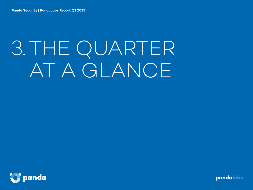# 3.THE QUARTER AT A GLANCE

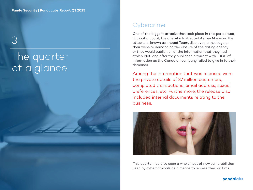3

# The quarter at a glance

## **Cybercrime**

One of the biggest attacks that took place in this period was, without a doubt, the one which affected Ashley Madison. The attackers, known as Impact Team, displayed a message on their website demanding the closure of the dating agency or they would publish all of the information that they had stolen. Not long after they published a torrent with 10GB of information as the Canadian company failed to give in to their demands.

Among the information that was released were the private details of 37 million customers, completed transactions, email address, sexual preferences, etc. Furthermore, the release also included internal documents relating to the business.



This quarter has also seen a whole host of new vulnerabilities used by cybercriminals as a means to access their victims.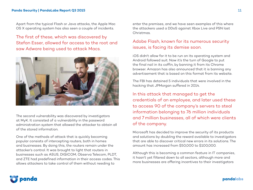Apart from the typical Flash or Java attacks, the Apple Mac OS X operating system has also seen a couple of incidents.

The first of these, which was discovered by Stefan Esser, allowed for access to the root and saw Adware being used to attack Macs.



The second vulnerability was discovered by investigators at MyK. It consisted of a vulnerability in the password administration system that allowed the attacker to obtain all of the stored information.

One of the methods of attack that is quickly becoming popular consists of intercepting routers, both in homes and businesses. By doing this, the routers remain under the attacker's control. It was brought to light that routers in businesses such as ASUS, DIGICOM, Observa Telecom, PLDT, and ZTE had predefined information in their access codes. This allows attackers to take control of them without needing to

enter the premises, and we have seen examples of this where the attackers used a DDoS against Xbox Live and PSN last Christmas.

#### Adobe Flash, known for its numerous security issues, is facing its demise soon.

iOS didn't allow for it to be run on its operating system and Android followed suit. Now it's the turn of Google to put the final nail in its coffin, by banning it from its Chrome browser. Amazon has also announced that it is banning any advertisement that is based on this format from its website.

The FBI has detained 5 individuals that were involved in the hacking that JPMorgan suffered in 2014.

In this attack that managed to get the credentials of an employee, and later used these to access 90 of the company's servers to steal information belonging to 76 million individuals and 7 million businesses, all of which were clients of the company.

Microsoft has decided to improve the security of its products and solutions by doubling the reward available to investigators that are able to discover critical new errors in its solutions. The amount has increased from \$50,000 to \$100,000.

Although this is becoming a common feature in IT companies, it hasn't yet filtered down to all sectors, although more and more businesses are offering incentives to their investigators

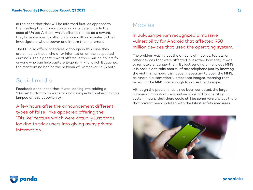in the hope that they will be informed first, as opposed to them selling the information to an outside source. In the case of United Airlines, which offers air miles as a reward, they have decided to offer up to one million air miles to their investigators who discover and inform them of errors.

The FBI also offers incentives, although in this case they are aimed at those who offer information on the suspected criminals. The highest reward offered is three million dollars for anyone who can help capture Evgeniy Mikhailovich Bogachev, the mastermind behind the network of Gameover ZeuS bots.

### Social media

Facebook announced that it was looking into adding a "Dislike" button to its website, and as expected, cybercriminals jumped on this opportunity.

A few hours after the announcement different types of false links appeared offering the "Dislike" feature which were actually just traps looking to trick users into giving away private information.

## Mobiles

### In July, Zimperium recognized a massive vulnerability for Android that affected 950 million devices that used the operating system.

The problem wasn't just the amount of mobiles, tablets, or other devices that were affected, but rather how easy it was to remotely endanger them. By just sending a malicious MMS it is possible to take control of any telephone just by knowing the victim's number. It isn't even necessary to open the MMS, as Android automatically processes images, meaning that receiving the MMS was enough to cause the damage.

Although the problem has since been corrected, the large number of manufacturers and versions of the operating system means that there could still be some versions out there that haven't been updated with the latest safety measures.



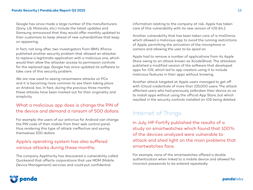Google has since made a large number of the manufacturers (Sony, LG, Motorola, etc.) include the latest updates and Samsung announced that they would offer monthly updated to their customers to keep ahead of new vulnerabilities that keep on appearing.

In fact, not long after, two investigators from IBM's XForce published another security problem that allowed an attacker to replace a legitimate application with a malicious one, which would then allow the attacker access to permission controls for the replaced app. Google has since updated its software to take care of this security problem.

We are now used to seeing ransomware attacks on PCs and it is becoming more common to see them taking place on Android, too. In fact, during the previous three months these attacks have been marked out for their originality and simplicity.

### What a malicious app does is change the PIN of the device and demand a ransom of 500 dollars.

For example, the users of our antivirus for Android can change the PIN code of their mobile from their web control panel, thus rendering this type of attack ineffective and saving themselves 500 dollars.

### Apple's operating system has also suffered various attacks during these months.

The company Appthority has discovered a vulnerability called Quicksand that affects corporations that use MDM (Mobile Device Management) services and could put confidential

information relating to the company at risk. Apple has taken care of this vulnerability with its new version of iOS 8.4.1.

Another vulnerability that has been taken care of is Ims0mnia, which allowed a malicious app to avoid the running restrictions of Apple, permitting the activation of the microphone or camera and allowing the user to be spied on.

Apple had to remove a number of applications from its Apple Store owing to an attack known as XcodeGhost. The attackers published a modified version of the software that developed apps for iOS, which led to app creators using it to include malicious features in their apps without knowing.

Another attack targeted at Apple users managed to get off with iCloud credentials of more than 225,000 users. The attack affected users who had previously jailbroken their device so as to install apps without using the official App Store, but which resulted in the security controls installed on iOS being deleted.

### Internet of Things

In July, HP Fortify published the results of a study on smartwatches which found that 100% of the devices analyzed were vulnerable to attack and shed light on the main problems that smartwatches face.

For example, none of the smartwatches offered a double authentication when linked to a mobile device and allowed for incorrect passwords to be entered repeatedly.

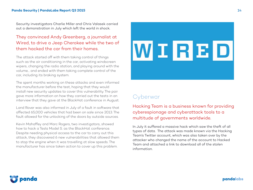Security investigators Charlie Miller and Chris Valasek carried out a demonstration in July which left the world in shock.

#### They convinced Andy Greenberg, a journalist at Wired, to drive a Jeep Cherokee while the two of them hacked the car from their homes.

The attack started off with them taking control of things such as the air conditioning in the car, activating windscreen wipers, changing the radio station, and playing around with the volume… and ended with them taking complete control of the car, including its braking system.

The spent months working on these attacks and even informed the manufacturer before the test, hoping that they would install new security updates to cover this vulnerability. The pair gave more information on how they carried out the tests in an interview that they gave at the BlackHat conference in August.

Land Rover was also informed in July of a fault in software that affected 65,000 vehicles that had been on sale since 2013. The fault allowed for the unlocking of the doors by outside sources.

Kevin Mahaffey and Marc Rogers, two investigators, showed how to hack a Tesla Model S. as the BlackHat conference. Despite needing physical access to the car to carry out this attack, they discovered 6 new vulnerabilities that allowed them to stop the engine when it was travelling at slow speeds. The manufacturer has since taken action to cover up this problem.



### **Cyberwar**

Hacking Team is a business known for providing cyberespionage and cyberattack tools to a multitude of governments worldwide.

In July it suffered a massive hack which saw the theft of all types of data. The attack was made known via the Hacking Team's Twitter account, which was also taken over by the attacker who changed the name of the account to Hacked Team and attached a link to download all of the stolen information.

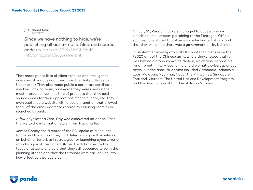1HT Hacked Team @hackingtean

Since we have nothing to hide, we're publishing all our e-mails, files, and source code mega.co.nz/#!Xx1lhChT!rbB... infotomb.com/eyyxo.torrent

They made public lists of clients (police and intelligence agencies of various countries, from the United States to Uzbekistan). They also made public a corporate certificate used by Hacking Team, passwords they were used on their most protected systems, lists of products that they sold, source codes for their applications, financial data, etc. They even published a website with a search function that allowed for all of the email addresses stored by Hacking Team to be searched through.

A few days later a Zero-Day was discovered on Adobe Flash thanks to the information stolen from Hacking Team.

James Comey, the director of the FBI, spoke at a security forum and told of how they had detected a growth in interest on behalf of terrorists in strategies for launching cyberterrorist attacks against the United States. He didn't specify the types of attacks and said that they still appeared to be in the planning stages and that the terrorists were still looking into how effective they could be.

On July 25, Russian hackers managed to access a nonclassified email system pertaining to the Pentagon. Official sources have stated that it was a sophisticated attack and that they were sure there was a government entity behind it.

In September, investigators at DGI published a study on the 78020 unit of the Chinese army, where they showed that it was behind a group known as Naikon, which was responsible for different military, economic and diplomatic cyberespionage attacks in the area. Its victims included Cambodia, Indonesia, Laos, Malaysia, Myanmar, Nepal, the Philippines, Singapore, Thailand, Vietnam, The United Nations Development Program, and the Association of Southeast Asian Nations.

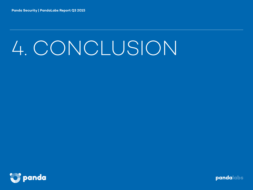# 4. CONCLUSION

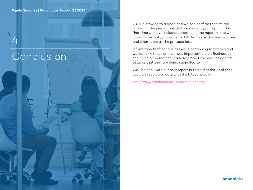Conclusion

4

2015 is drawing to a close and we can confirm that we are achieving the predictions that we made a year ago. For the first time we have included a section in the report where we highlight security problems for IoT devices, with smartwatches and smart cars as the protagonists.

Information theft for businesses is continuing to happen and we can only focus on the most important cases. Businesses should be prepared and ready to protect themselves against attacks that they are being subjected to.

We'll be back with our next report in three months, until then you can keep up to date with the latest news at

http://www.pandasecurity.com/mediacenter/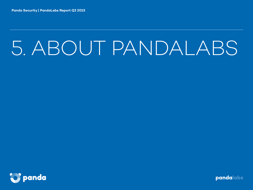# 5. ABOUT PANDALABS

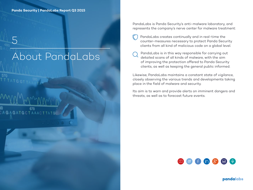5

670 **GATGCTAAACTTA** 

About PandaLabs

PandaLabs is Panda Security's anti-malware laboratory, and represents the company's nerve center for malware treatment:

- PandaLabs creates continually and in real-time the counter-measures necessary to protect Panda Security clients from all kind of malicious code on a global level.
- PandaLabs is in this way responsible for carrying out detailed scans of all kinds of malware, with the aim of improving the protection offered to Panda Security clients, as well as keeping the general public informed.

Likewise, PandaLabs maintains a constant state of vigilance, closely observing the various trends and developments taking place in the field of malware and security.

Its aim is to warn and provide alerts on imminent dangers and threats, as well as to forecast future events.